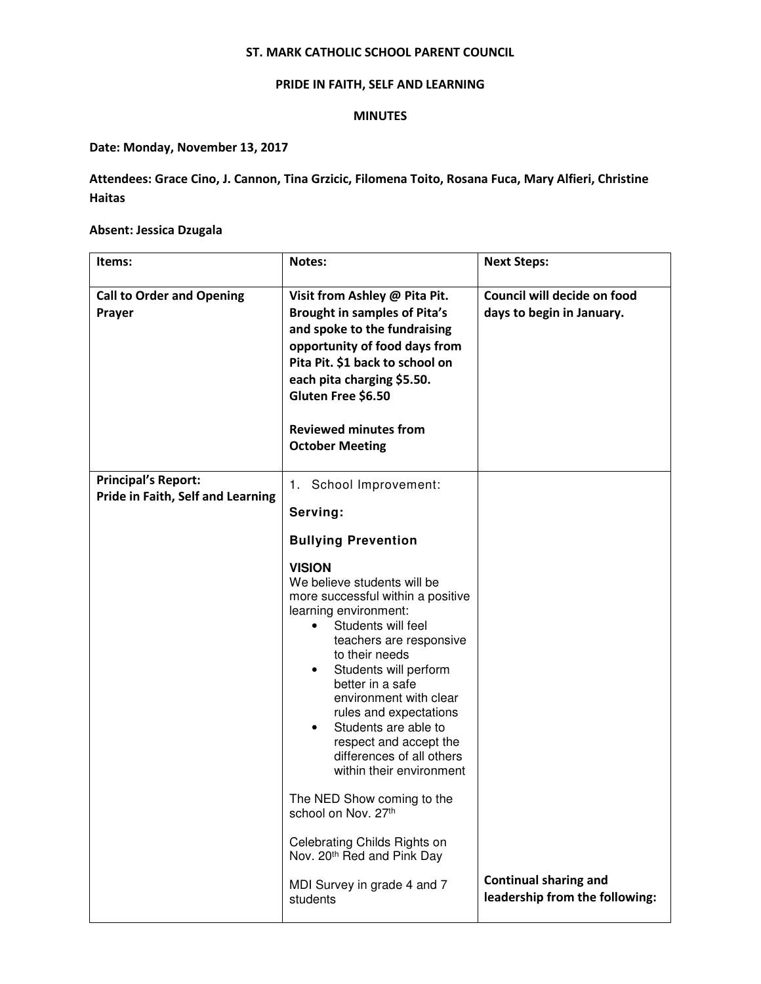## ST. MARK CATHOLIC SCHOOL PARENT COUNCIL

# PRIDE IN FAITH, SELF AND LEARNING

## MINUTES

# Date: Monday, November 13, 2017

Attendees: Grace Cino, J. Cannon, Tina Grzicic, Filomena Toito, Rosana Fuca, Mary Alfieri, Christine Haitas

# Absent: Jessica Dzugala

| Items:                                                          | Notes:                                                                                                                                                                                                                                                                                                                                                                                                                                                                                                                                                  | <b>Next Steps:</b>                                       |
|-----------------------------------------------------------------|---------------------------------------------------------------------------------------------------------------------------------------------------------------------------------------------------------------------------------------------------------------------------------------------------------------------------------------------------------------------------------------------------------------------------------------------------------------------------------------------------------------------------------------------------------|----------------------------------------------------------|
| <b>Call to Order and Opening</b><br>Prayer                      | Visit from Ashley @ Pita Pit.<br><b>Brought in samples of Pita's</b><br>and spoke to the fundraising<br>opportunity of food days from<br>Pita Pit. \$1 back to school on<br>each pita charging \$5.50.<br>Gluten Free \$6.50<br><b>Reviewed minutes from</b><br><b>October Meeting</b>                                                                                                                                                                                                                                                                  | Council will decide on food<br>days to begin in January. |
| <b>Principal's Report:</b><br>Pride in Faith, Self and Learning | 1. School Improvement:                                                                                                                                                                                                                                                                                                                                                                                                                                                                                                                                  |                                                          |
|                                                                 | Serving:                                                                                                                                                                                                                                                                                                                                                                                                                                                                                                                                                |                                                          |
|                                                                 | <b>Bullying Prevention</b>                                                                                                                                                                                                                                                                                                                                                                                                                                                                                                                              |                                                          |
|                                                                 | <b>VISION</b><br>We believe students will be<br>more successful within a positive<br>learning environment:<br>Students will feel<br>teachers are responsive<br>to their needs<br>Students will perform<br>better in a safe<br>environment with clear<br>rules and expectations<br>Students are able to<br>respect and accept the<br>differences of all others<br>within their environment<br>The NED Show coming to the<br>school on Nov. 27th<br>Celebrating Childs Rights on<br>Nov. 20 <sup>th</sup> Red and Pink Day<br>MDI Survey in grade 4 and 7 | <b>Continual sharing and</b>                             |
|                                                                 | students                                                                                                                                                                                                                                                                                                                                                                                                                                                                                                                                                | leadership from the following:                           |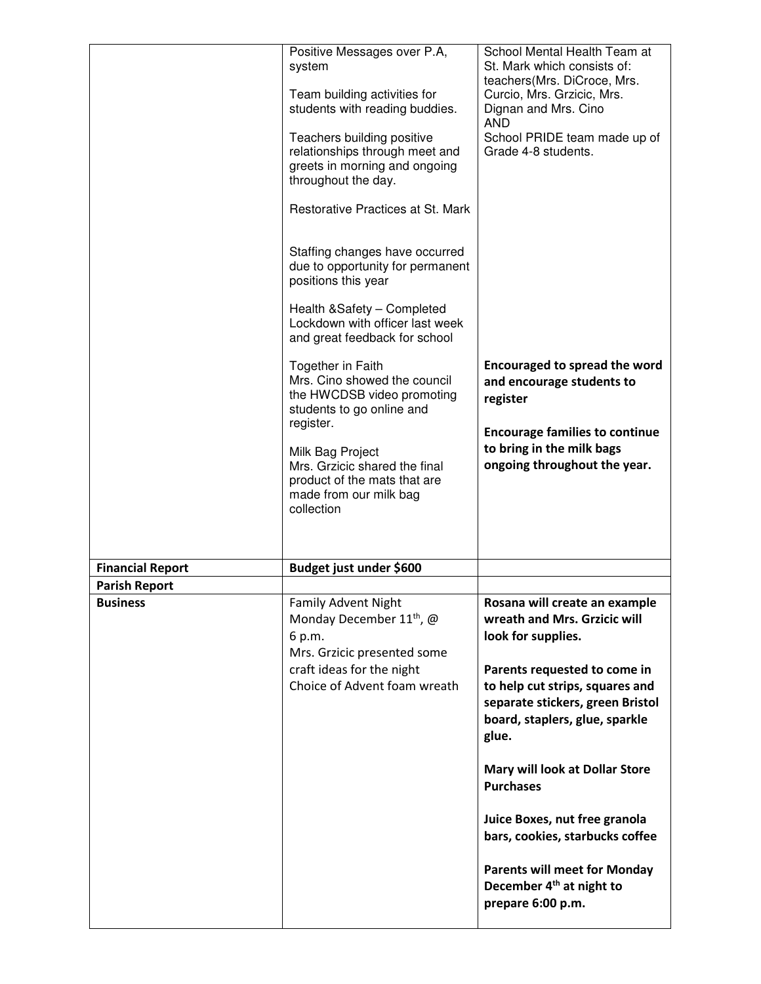|                         | Positive Messages over P.A,<br>system<br>Team building activities for<br>students with reading buddies.<br>Teachers building positive<br>relationships through meet and<br>greets in morning and ongoing<br>throughout the day.<br>Restorative Practices at St. Mark<br>Staffing changes have occurred<br>due to opportunity for permanent<br>positions this year<br>Health & Safety - Completed<br>Lockdown with officer last week<br>and great feedback for school<br>Together in Faith<br>Mrs. Cino showed the council<br>the HWCDSB video promoting<br>students to go online and<br>register.<br>Milk Bag Project<br>Mrs. Grzicic shared the final<br>product of the mats that are<br>made from our milk bag<br>collection | School Mental Health Team at<br>St. Mark which consists of:<br>teachers(Mrs. DiCroce, Mrs.<br>Curcio, Mrs. Grzicic, Mrs.<br>Dignan and Mrs. Cino<br><b>AND</b><br>School PRIDE team made up of<br>Grade 4-8 students.<br><b>Encouraged to spread the word</b><br>and encourage students to<br>register<br><b>Encourage families to continue</b><br>to bring in the milk bags<br>ongoing throughout the year.                                                        |
|-------------------------|--------------------------------------------------------------------------------------------------------------------------------------------------------------------------------------------------------------------------------------------------------------------------------------------------------------------------------------------------------------------------------------------------------------------------------------------------------------------------------------------------------------------------------------------------------------------------------------------------------------------------------------------------------------------------------------------------------------------------------|---------------------------------------------------------------------------------------------------------------------------------------------------------------------------------------------------------------------------------------------------------------------------------------------------------------------------------------------------------------------------------------------------------------------------------------------------------------------|
| <b>Financial Report</b> | Budget just under \$600                                                                                                                                                                                                                                                                                                                                                                                                                                                                                                                                                                                                                                                                                                        |                                                                                                                                                                                                                                                                                                                                                                                                                                                                     |
| <b>Parish Report</b>    |                                                                                                                                                                                                                                                                                                                                                                                                                                                                                                                                                                                                                                                                                                                                |                                                                                                                                                                                                                                                                                                                                                                                                                                                                     |
| <b>Business</b>         | <b>Family Advent Night</b><br>Monday December 11 <sup>th</sup> , @<br>6 p.m.<br>Mrs. Grzicic presented some<br>craft ideas for the night<br>Choice of Advent foam wreath                                                                                                                                                                                                                                                                                                                                                                                                                                                                                                                                                       | Rosana will create an example<br>wreath and Mrs. Grzicic will<br>look for supplies.<br>Parents requested to come in<br>to help cut strips, squares and<br>separate stickers, green Bristol<br>board, staplers, glue, sparkle<br>glue.<br>Mary will look at Dollar Store<br><b>Purchases</b><br>Juice Boxes, nut free granola<br>bars, cookies, starbucks coffee<br><b>Parents will meet for Monday</b><br>December 4 <sup>th</sup> at night to<br>prepare 6:00 p.m. |